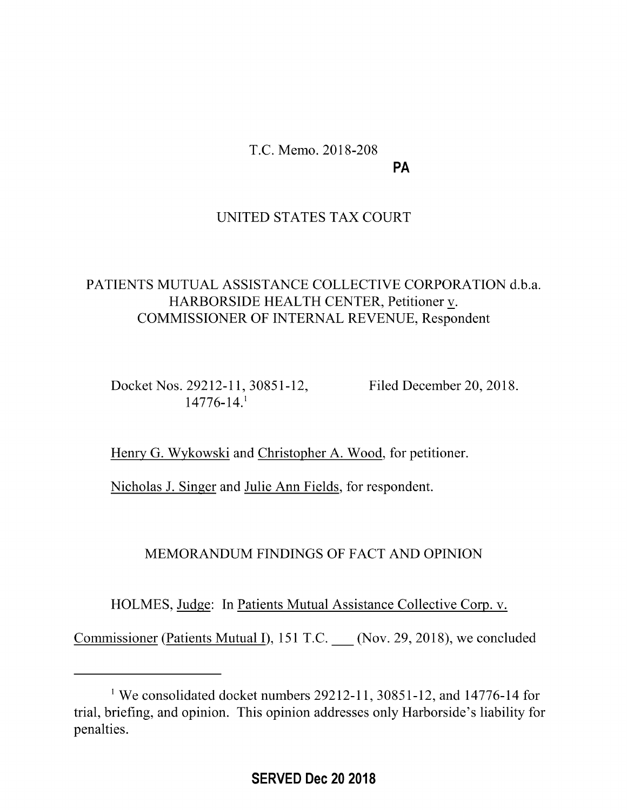### T.C. Memo. 2018-208 PA

### UNITED STATES TAX COURT

# PATIENTS MUTUAL ASSISTANCE COLLECTIVE CORPORATION d.b.a. HARBORSIDE HEALTH CENTER, Petitioner v. COMMISSIONER OF INTERNAL REVENUE, Respondent

Docket Nos. 29212-11, 30851-12, Filed December 20, 2018.  $14776 - 14<sup>1</sup>$ 

Henry G. Wykowski and Christopher A. Wood, for petitioner.

Nicholas J. Singer and Julie Ann Fields, for respondent.

# MEMORANDUM FINDINGS OF FACT AND OPINION

HOLMES, Judge: In Patients Mutual Assistance Collective Corp. v.

Commissioner (Patients Mutual I), <sup>151</sup> T.C. \_\_ (Nov. 29, 2018), we concluded

<sup>&</sup>lt;sup>1</sup> We consolidated docket numbers 29212-11, 30851-12, and 14776-14 for trial, briefing, and opinion. This opinion addresses only Harborside's liability for penalties.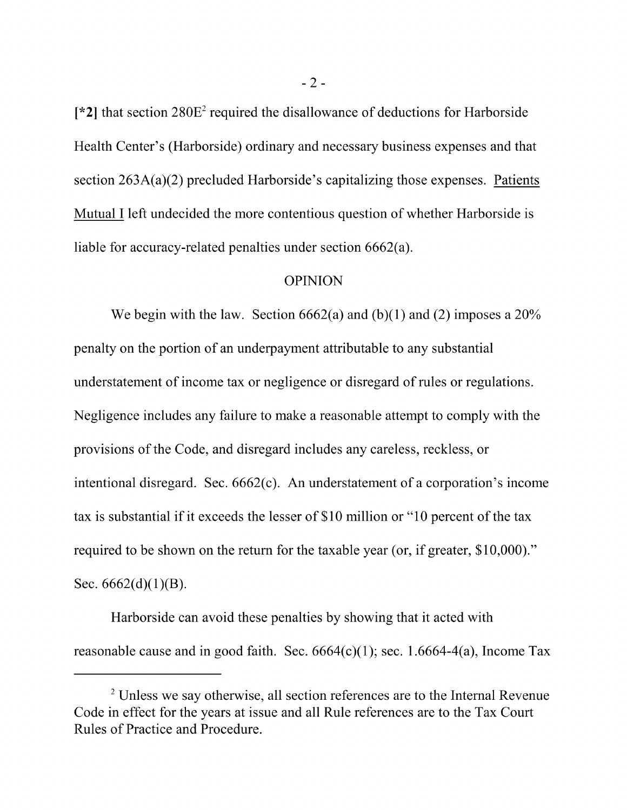[\*2] that section 280E<sup>2</sup> required the disallowance of deductions for Harborside Health Center's (Harborside) ordinary and necessary business expenses and that section 263A(a)(2) precluded Harborside's capitalizing those expenses. Patients Mutual I left undecided the more contentious question of whether Harborside is liable for accuracy-related penalties under section 6662(a).

#### OPINION

We begin with the law. Section  $6662(a)$  and  $(b)(1)$  and  $(2)$  imposes a  $20\%$ penalty on the portion of an underpayment attributable to any substantial understatement of income tax or negligence or disregard of rules or regulations. Negligence includes any failure to make a reasonable attempt to comply with the provisions of the Code, and disregard includes any careless, reckless, or intentional disregard. Sec. 6662(c). An understatement of <sup>a</sup> corporation's income tax is substantial if it exceeds the lesser of \$10 million or "10 percent of the tax required to be shown on the return for the taxable year (or, if greater, \$10,000)." Sec.  $6662(d)(1)(B)$ .

Harborside can avoid these penalties by showing that it acted with reasonable cause and in good faith. Sec.  $6664(c)(1)$ ; sec. 1.6664-4(a), Income Tax

<sup>&</sup>lt;sup>2</sup> Unless we say otherwise, all section references are to the Internal Revenue Code in effect for the years at issue and all Rule references are to the Tax Court Rules of Practice and Procedure.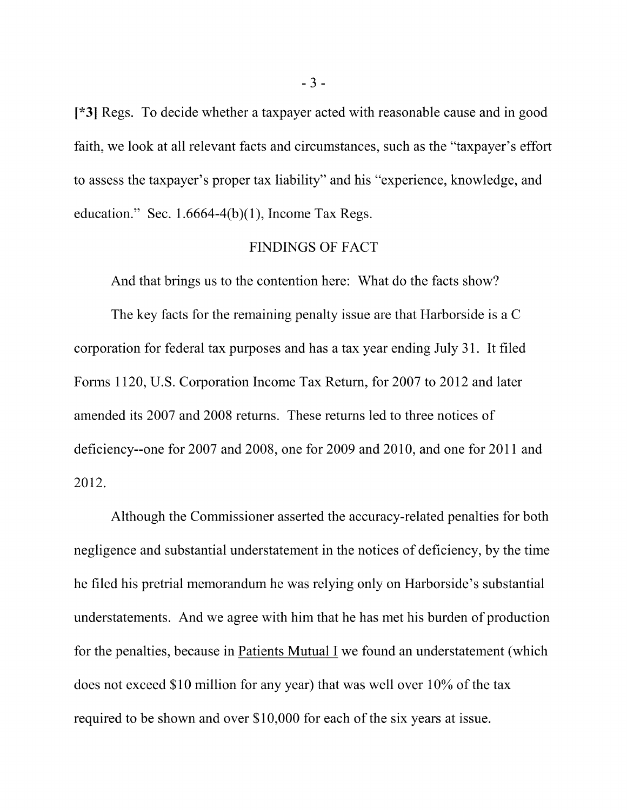[\*3] Regs. To decide whether a taxpayer acted with reasonable cause and in good faith, we look at all relevant facts and circumstances, such as the "taxpayer's effort to assess the taxpayer's proper tax liability" and his "experience, knowledge, and education." Sec.  $1.6664-4(b)(1)$ , Income Tax Regs.

#### FINDINGS OF FACT

And that brings us to the contention here: What do the facts show?

The key facts for the remaining penalty issue are that Harborside is a C corporation for federal tax purposes and has <sup>a</sup> tax year ending July 31. It filed Forms 1120, U.S. Corporation Income Tax Return, for 2007 to 2012 and later amended its 2007 and 2008 returns. These returns led to three notices of deficiency--one for 2007 and 2008, one for 2009 and 2010, and one for 2011 and 2012.

Although the Commissioner asserted the accuracy-related penalties for both negligence and substantial understatement in the notices of deficiency, by the time he filed his pretrial memorandum he was relying only on Harborside's substantial understatements. And we agree with him that he has met his burden of production for the penalties, because in Patients Mutual I we found an understatement (which does not exceed \$10 million for any year) that was well over  $10\%$  of the tax required to be shown and over \$10,000 for each of the six years at issue.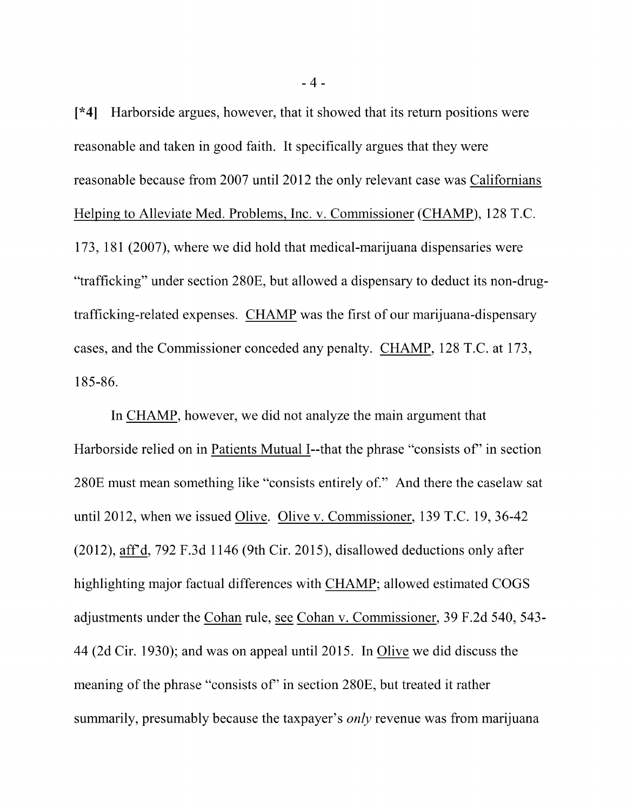[\*4] Harborside argues, however, that it showed that its return positions were reasonable and taken in good faith. It specifically argues that they were reasonable because from 2007 until 2012 the only relevant case was Californians Helping to Alleviate Med. Problems, Inc. v. Commissioner (CHAMP), 128 T.C. 173, 181 (2007), where we did hold that medical-marijuana dispensaries were "trafficking" under section 280E, but allowed a dispensary to deduct its non-drugtrafficking-related expenses. CHAMP was the first of our marijuana-dispensary cases, and the Commissioner conceded any penalty. CHAMP, 128 T.C. at 173, 185-86.

In CHAMP, however, we did not analyze the main argument that Harborside relied on in Patients Mutual I--that the phrase "consists of" in section 280E must mean something like "consists entirely of." And there the caselaw sat until 2012, when we issued Olive. Olive v. Commissioner, 139 T.C. 19, 36-42 (2012), aff'd, 792 F.3d 1146 (9th Cir. 2015), disallowed deductions only after highlighting major factual differences with CHAMP; allowed estimated COGS adjustments under the Cohan rule, see Cohan v. Commissioner, 39 F.2d 540, 543- 44 (2d Cir. 1930); and was on appeal until 2015. In Olive we did discuss the meaning of the phrase "consists of" in section 280E, but treated it rather summarily, presumably because the taxpayer's *only* revenue was from marijuana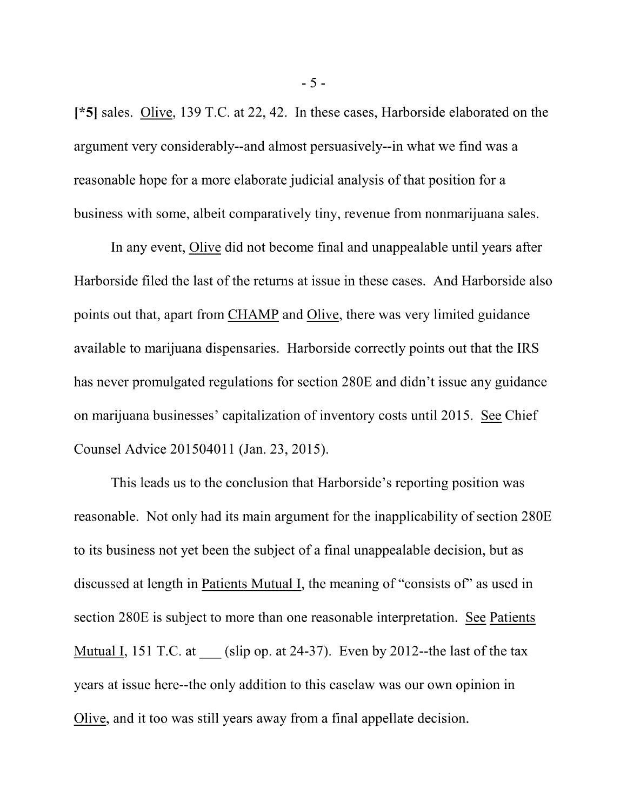[\*5] sales. Olive, 139 T.C. at 22, 42. In these cases, Harborside elaborated on the argument very considerably--and almost persuasively--in what we find was a reasonable hope for <sup>a</sup> more elaborate judicial analysis of that position for <sup>a</sup> business with some, albeit comparatively tiny, revenue from nonmarijuana sales.

In any event, Olive did not become final and unappealable until years after Harborside filed the last of the returns at issue in these cases. And Harborside also points out that, apart from CHAMP and Olive, there was very limited guidance available to marijuana dispensaries. Harborside correctly points out that the IRS has never promulgated regulations for section 280E and didn't issue any guidance on marijuana businesses' capitalization of inventory costs until 2015. See Chief Counsel Advice 201504011 (Jan. 23, 2015).

This leads us to the conclusion that Harborside's reporting position was reasonable. Not only had its main argument for the inapplicability of section 280E to its business not yet been the subject of <sup>a</sup> final unappealable decision, but as discussed at length in Patients Mutual I, the meaning of "consists of" as used in section 280E is subject to more than one reasonable interpretation. See Patients Mutual I, 151 T.C. at (slip op. at 24-37). Even by 2012--the last of the tax years at issue here--the only addition to this caselaw was our own opinion in Olive, and it too was still years away from a final appellate decision.

- 5 -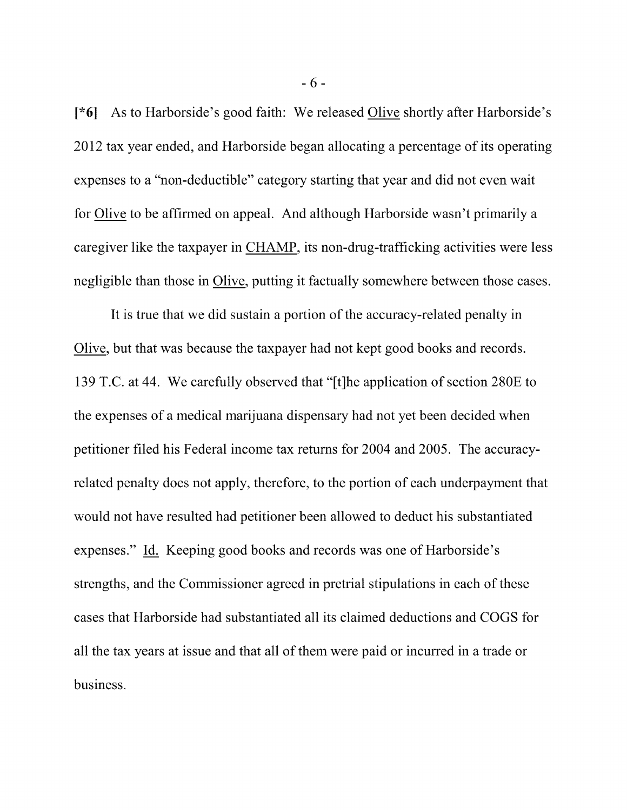[\*6] As to Harborside's good faith: We released Olive shortly after Harborside's 2012 tax year ended, and Harborside began allocating <sup>a</sup> percentage of its operating expenses to a "non-deductible" category starting that year and did not even wait for Olive to be affirmed on appeal. And although Harborside wasn't primarily a caregiver like the taxpayer in CHAMP, its non-drug-trafficking activities were less negligible than those in Olive, putting it factually somewhere between those cases.

It is true that we did sustain a portion of the accuracy-related penalty in Olive, but that was because the taxpayer had not kept good books and records. 139 T.C. at 44. We carefully observed that "[t]he application of section 280E to the expenses of <sup>a</sup> medical marijuana dispensary had not yet been decided when petitioner filed his Federal income tax returns for 2004 and 2005. The accuracyrelated penalty does not apply, therefore, to the portion of each underpayment that would not have resulted had petitioner been allowed to deduct his substantiated expenses." Id. Keeping good books and records was one of Harborside's strengths, and the Commissioner agreed in pretrial stipulations in each of these cases that Harborside had substantiated all its claimed deductions and COGS for all the tax years at issue and that all of them were paid or incurred in a trade or business.

- 6 -